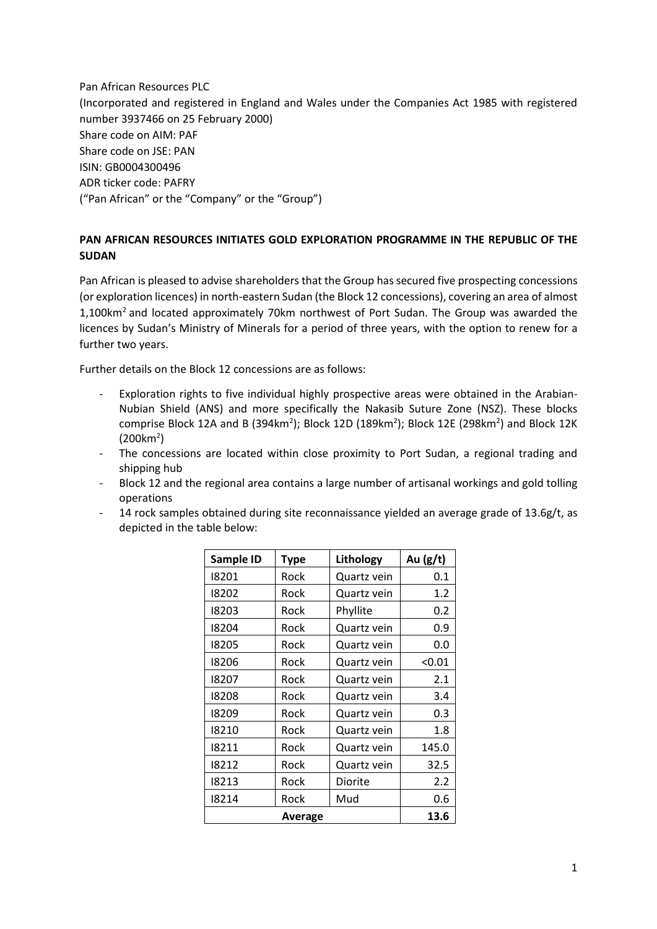Pan African Resources PLC (Incorporated and registered in England and Wales under the Companies Act 1985 with registered number 3937466 on 25 February 2000) Share code on AIM: PAF Share code on JSE: PAN ISIN: GB0004300496 ADR ticker code: PAFRY ("Pan African" or the "Company" or the "Group")

## **PAN AFRICAN RESOURCES INITIATES GOLD EXPLORATION PROGRAMME IN THE REPUBLIC OF THE SUDAN**

Pan African is pleased to advise shareholders that the Group has secured five prospecting concessions (or exploration licences) in north-eastern Sudan (the Block 12 concessions), covering an area of almost 1,100km<sup>2</sup>and located approximately 70km northwest of Port Sudan. The Group was awarded the licences by Sudan's Ministry of Minerals for a period of three years, with the option to renew for a further two years.

Further details on the Block 12 concessions are as follows:

- Exploration rights to five individual highly prospective areas were obtained in the Arabian-Nubian Shield (ANS) and more specifically the Nakasib Suture Zone (NSZ). These blocks comprise Block 12A and B (394km<sup>2</sup>); Block 12D (189km<sup>2</sup>); Block 12E (298km<sup>2</sup>) and Block 12K  $(200km^2)$
- The concessions are located within close proximity to Port Sudan, a regional trading and shipping hub
- Block 12 and the regional area contains a large number of artisanal workings and gold tolling operations
- 14 rock samples obtained during site reconnaissance yielded an average grade of 13.6g/t, as depicted in the table below:

| Sample ID | <b>Type</b> | Lithology   | Au $(g/t)$ |
|-----------|-------------|-------------|------------|
| 18201     | Rock        | Quartz vein | 0.1        |
| 18202     | Rock        | Quartz vein | 1.2        |
| 18203     | Rock        | Phyllite    | 0.2        |
| 18204     | Rock        | Quartz vein | 0.9        |
| 18205     | Rock        | Quartz vein | 0.0        |
| 18206     | Rock        | Quartz vein | < 0.01     |
| 18207     | Rock        | Quartz vein | 2.1        |
| 18208     | Rock        | Quartz vein | 3.4        |
| 18209     | Rock        | Quartz vein | 0.3        |
| 18210     | Rock        | Quartz vein | 1.8        |
| 18211     | Rock        | Quartz vein | 145.0      |
| 18212     | Rock        | Quartz vein | 32.5       |
| 18213     | Rock        | Diorite     | 2.2        |
| 18214     | Rock        | Mud         | 0.6        |
|           | Average     |             | 13.6       |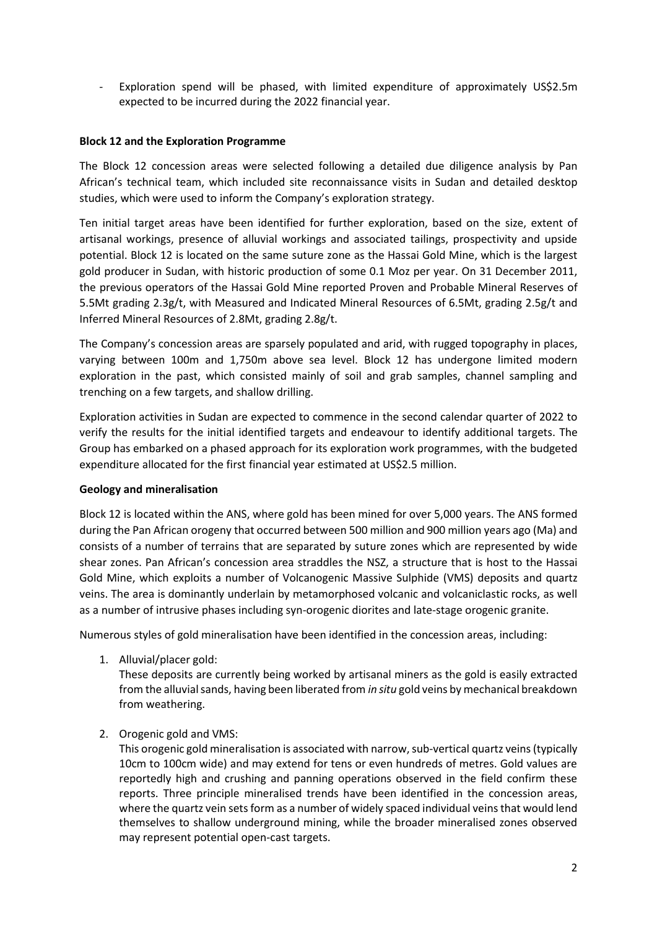Exploration spend will be phased, with limited expenditure of approximately US\$2.5m expected to be incurred during the 2022 financial year.

## **Block 12 and the Exploration Programme**

The Block 12 concession areas were selected following a detailed due diligence analysis by Pan African's technical team, which included site reconnaissance visits in Sudan and detailed desktop studies, which were used to inform the Company's exploration strategy.

Ten initial target areas have been identified for further exploration, based on the size, extent of artisanal workings, presence of alluvial workings and associated tailings, prospectivity and upside potential. Block 12 is located on the same suture zone as the Hassai Gold Mine, which is the largest gold producer in Sudan, with historic production of some 0.1 Moz per year. On 31 December 2011, the previous operators of the Hassai Gold Mine reported Proven and Probable Mineral Reserves of 5.5Mt grading 2.3g/t, with Measured and Indicated Mineral Resources of 6.5Mt, grading 2.5g/t and Inferred Mineral Resources of 2.8Mt, grading 2.8g/t.

The Company's concession areas are sparsely populated and arid, with rugged topography in places, varying between 100m and 1,750m above sea level. Block 12 has undergone limited modern exploration in the past, which consisted mainly of soil and grab samples, channel sampling and trenching on a few targets, and shallow drilling.

Exploration activities in Sudan are expected to commence in the second calendar quarter of 2022 to verify the results for the initial identified targets and endeavour to identify additional targets. The Group has embarked on a phased approach for its exploration work programmes, with the budgeted expenditure allocated for the first financial year estimated at US\$2.5 million.

## **Geology and mineralisation**

Block 12 is located within the ANS, where gold has been mined for over 5,000 years. The ANS formed during the Pan African orogeny that occurred between 500 million and 900 million years ago (Ma) and consists of a number of terrains that are separated by suture zones which are represented by wide shear zones. Pan African's concession area straddles the NSZ, a structure that is host to the Hassai Gold Mine, which exploits a number of Volcanogenic Massive Sulphide (VMS) deposits and quartz veins. The area is dominantly underlain by metamorphosed volcanic and volcaniclastic rocks, as well as a number of intrusive phases including syn-orogenic diorites and late-stage orogenic granite.

Numerous styles of gold mineralisation have been identified in the concession areas, including:

1. Alluvial/placer gold:

These deposits are currently being worked by artisanal miners as the gold is easily extracted from the alluvial sands, having been liberated from *in situ* gold veins by mechanical breakdown from weathering.

2. Orogenic gold and VMS:

This orogenic gold mineralisation is associated with narrow, sub-vertical quartz veins(typically 10cm to 100cm wide) and may extend for tens or even hundreds of metres. Gold values are reportedly high and crushing and panning operations observed in the field confirm these reports. Three principle mineralised trends have been identified in the concession areas, where the quartz vein sets form as a number of widely spaced individual veins that would lend themselves to shallow underground mining, while the broader mineralised zones observed may represent potential open-cast targets.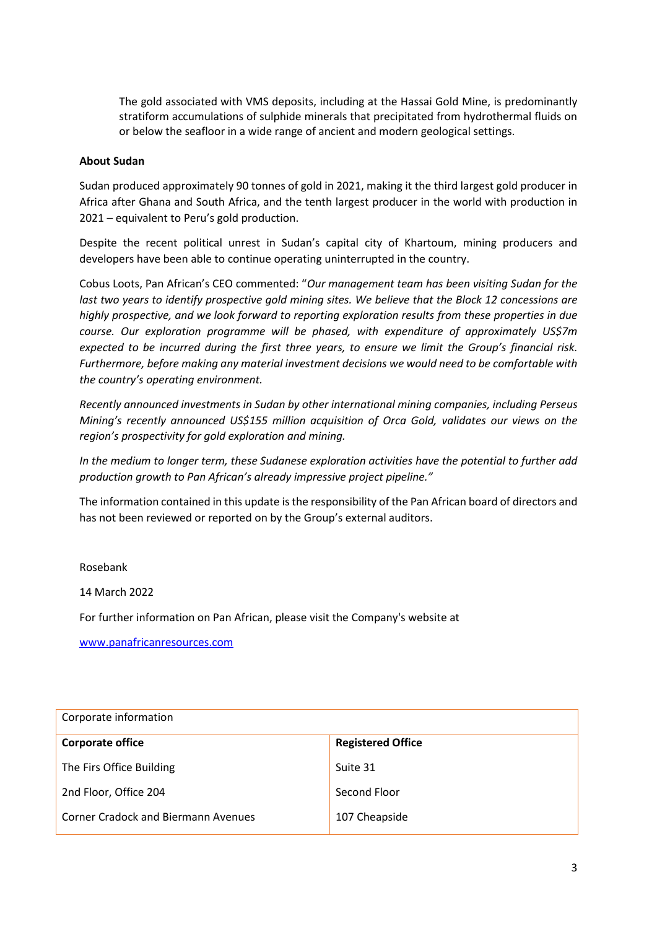The gold associated with VMS deposits, including at the Hassai Gold Mine, is predominantly stratiform accumulations of sulphide minerals that precipitated from hydrothermal fluids on or below the seafloor in a wide range of ancient and modern geological settings.

## **About Sudan**

Sudan produced approximately 90 tonnes of gold in 2021, making it the third largest gold producer in Africa after Ghana and South Africa, and the tenth largest producer in the world with production in 2021 – equivalent to Peru's gold production.

Despite the recent political unrest in Sudan's capital city of Khartoum, mining producers and developers have been able to continue operating uninterrupted in the country.

Cobus Loots, Pan African's CEO commented: "*Our management team has been visiting Sudan for the*  last two years to identify prospective gold mining sites. We believe that the Block 12 concessions are *highly prospective, and we look forward to reporting exploration results from these properties in due course. Our exploration programme will be phased, with expenditure of approximately US\$7m expected to be incurred during the first three years, to ensure we limit the Group's financial risk. Furthermore, before making any material investment decisions we would need to be comfortable with the country's operating environment.* 

*Recently announced investments in Sudan by other international mining companies, including Perseus Mining's recently announced US\$155 million acquisition of Orca Gold, validates our views on the region's prospectivity for gold exploration and mining.*

*In the medium to longer term, these Sudanese exploration activities have the potential to further add production growth to Pan African's already impressive project pipeline."*

The information contained in this update is the responsibility of the Pan African board of directors and has not been reviewed or reported on by the Group's external auditors.

Rosebank

14 March 2022

For further information on Pan African, please visit the Company's website at

[www.panafricanresources.com](http://www.panafricanresources.com/)

| Corporate information                      |                          |  |  |
|--------------------------------------------|--------------------------|--|--|
| <b>Corporate office</b>                    | <b>Registered Office</b> |  |  |
| The Firs Office Building                   | Suite 31                 |  |  |
| 2nd Floor, Office 204                      | Second Floor             |  |  |
| <b>Corner Cradock and Biermann Avenues</b> | 107 Cheapside            |  |  |